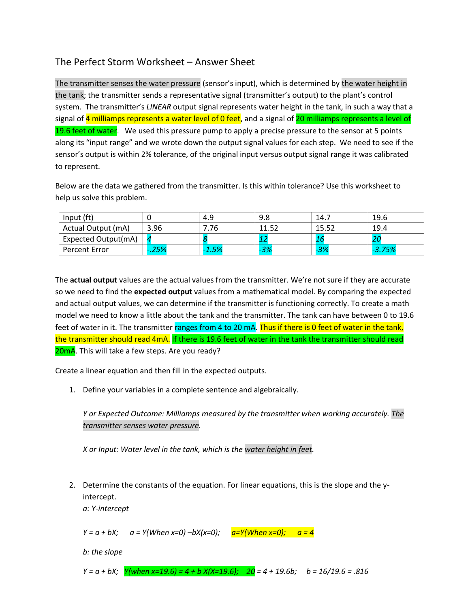# The Perfect Storm Worksheet – Answer Sheet

The transmitter senses the water pressure (sensor's input), which is determined by the water height in the tank; the transmitter sends a representative signal (transmitter's output) to the plant's control system. The transmitter's *LINEAR* output signal represents water height in the tank, in such a way that a signal of 4 milliamps represents a water level of 0 feet, and a signal of 20 milliamps represents a level of 19.6 feet of water. We used this pressure pump to apply a precise pressure to the sensor at 5 points along its "input range" and we wrote down the output signal values for each step. We need to see if the sensor's output is within 2% tolerance, of the original input versus output signal range it was calibrated to represent.

Below are the data we gathered from the transmitter. Is this within tolerance? Use this worksheet to help us solve this problem.

| Input (ft)          |      | 4.9     | 9.8   | 14.7  | 19.6     |
|---------------------|------|---------|-------|-------|----------|
| Actual Output (mA)  | 3.96 | 7.76    | 11.52 | 15.52 | 19.4     |
| Expected Output(mA) |      |         |       |       | -20      |
| Percent Error       | .25% | $-1.5%$ | $-3%$ | $-3%$ | $-3.75%$ |

The **actual output** values are the actual values from the transmitter. We're not sure if they are accurate so we need to find the **expected output** values from a mathematical model. By comparing the expected and actual output values, we can determine if the transmitter is functioning correctly. To create a math model we need to know a little about the tank and the transmitter. The tank can have between 0 to 19.6 feet of water in it. The transmitter ranges from 4 to 20 mA. Thus if there is 0 feet of water in the tank, the transmitter should read 4mA. If there is 19.6 feet of water in the tank the transmitter should read 20mA. This will take a few steps. Are you ready?

Create a linear equation and then fill in the expected outputs.

1. Define your variables in a complete sentence and algebraically.

*Y or Expected Outcome: Milliamps measured by the transmitter when working accurately. The transmitter senses water pressure.*

*X or Input: Water level in the tank, which is the water height in feet.* 

2. Determine the constants of the equation. For linear equations, this is the slope and the yintercept.

*a: Y-intercept*

*Y = a + bX; a = Y(When x=0) –bX(x=0); a=Y(When x=0); a = 4*

*b: the slope*

*Y = a + bX; Y(when x=19.6) = 4 + b X(X=19.6); 20 = 4 + 19.6b; b = 16/19.6 = .816*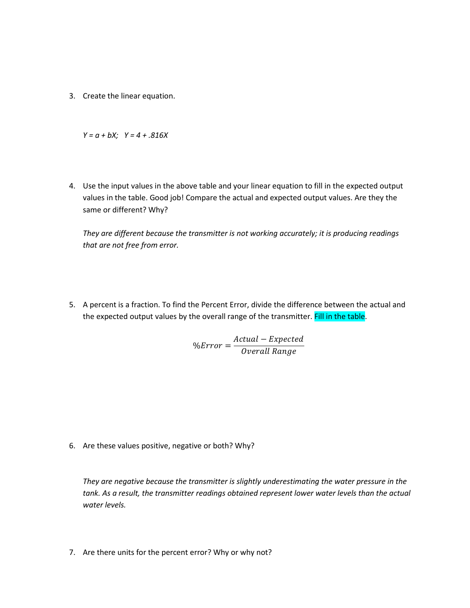3. Create the linear equation.

*Y = a + bX; Y = 4 + .816X*

4. Use the input values in the above table and your linear equation to fill in the expected output values in the table. Good job! Compare the actual and expected output values. Are they the same or different? Why?

*They are different because the transmitter is not working accurately; it is producing readings that are not free from error.* 

5. A percent is a fraction. To find the Percent Error, divide the difference between the actual and the expected output values by the overall range of the transmitter. Fill in the table.

> $%Error =$ Actual – Expected Overall Range

6. Are these values positive, negative or both? Why?

*They are negative because the transmitter is slightly underestimating the water pressure in the tank. As a result, the transmitter readings obtained represent lower water levels than the actual water levels.* 

7. Are there units for the percent error? Why or why not?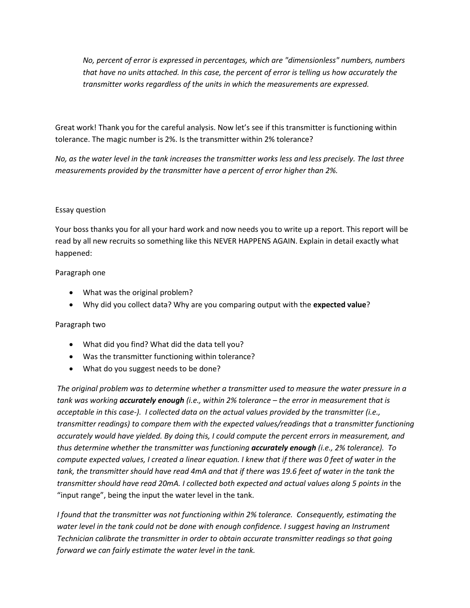*No, percent of error is expressed in percentages, which are "dimensionless" numbers, numbers that have no units attached. In this case, the percent of error is telling us how accurately the transmitter works regardless of the units in which the measurements are expressed.* 

Great work! Thank you for the careful analysis. Now let's see if this transmitter is functioning within tolerance. The magic number is 2%. Is the transmitter within 2% tolerance?

*No, as the water level in the tank increases the transmitter works less and less precisely. The last three measurements provided by the transmitter have a percent of error higher than 2%.* 

### Essay question

Your boss thanks you for all your hard work and now needs you to write up a report. This report will be read by all new recruits so something like this NEVER HAPPENS AGAIN. Explain in detail exactly what happened:

#### Paragraph one

- What was the original problem?
- Why did you collect data? Why are you comparing output with the **expected value**?

#### Paragraph two

- What did you find? What did the data tell you?
- Was the transmitter functioning within tolerance?
- What do you suggest needs to be done?

*The original problem was to determine whether a transmitter used to measure the water pressure in a tank was working accurately enough (i.e., within 2% tolerance – the error in measurement that is acceptable in this case-). I collected data on the actual values provided by the transmitter (i.e., transmitter readings) to compare them with the expected values/readings that a transmitter functioning accurately would have yielded. By doing this, I could compute the percent errors in measurement, and thus determine whether the transmitter was functioning accurately enough (i.e., 2% tolerance). To compute expected values, I created a linear equation. I knew that if there was 0 feet of water in the tank, the transmitter should have read 4mA and that if there was 19.6 feet of water in the tank the transmitter should have read 20mA. I collected both expected and actual values along 5 points in* the "input range", being the input the water level in the tank.

*I found that the transmitter was not functioning within 2% tolerance. Consequently, estimating the water level in the tank could not be done with enough confidence. I suggest having an Instrument Technician calibrate the transmitter in order to obtain accurate transmitter readings so that going forward we can fairly estimate the water level in the tank.*